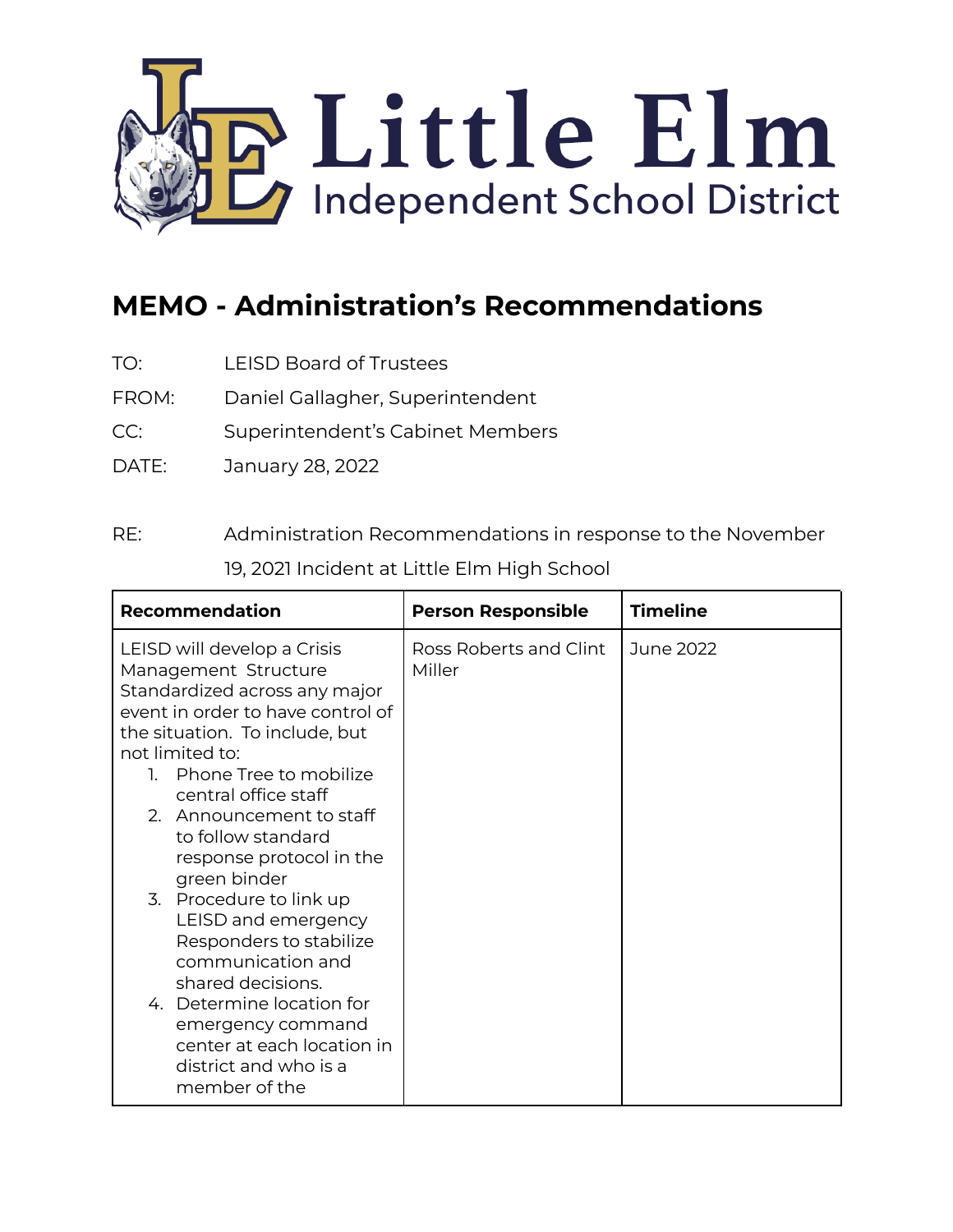

## **MEMO - Administration's Recommendations**

- TO: LEISD Board of Trustees
- FROM: Daniel Gallagher, Superintendent
- CC: Superintendent's Cabinet Members
- DATE: January 28, 2022

## RE: Administration Recommendations in response to the November 19, 2021 Incident at Little Elm High School

| <b>Recommendation</b>                                                                                                                                                          | <b>Person Responsible</b>        | <b>Timeline</b> |
|--------------------------------------------------------------------------------------------------------------------------------------------------------------------------------|----------------------------------|-----------------|
| LEISD will develop a Crisis<br>Management Structure<br>Standardized across any major<br>event in order to have control of<br>the situation. To include, but<br>not limited to: | Ross Roberts and Clint<br>Miller | June 2022       |
| 1. Phone Tree to mobilize<br>central office staff                                                                                                                              |                                  |                 |
| 2. Announcement to staff<br>to follow standard<br>response protocol in the<br>green binder                                                                                     |                                  |                 |
| 3. Procedure to link up<br>LEISD and emergency<br>Responders to stabilize<br>communication and<br>shared decisions.                                                            |                                  |                 |
| 4. Determine location for<br>emergency command<br>center at each location in<br>district and who is a<br>member of the                                                         |                                  |                 |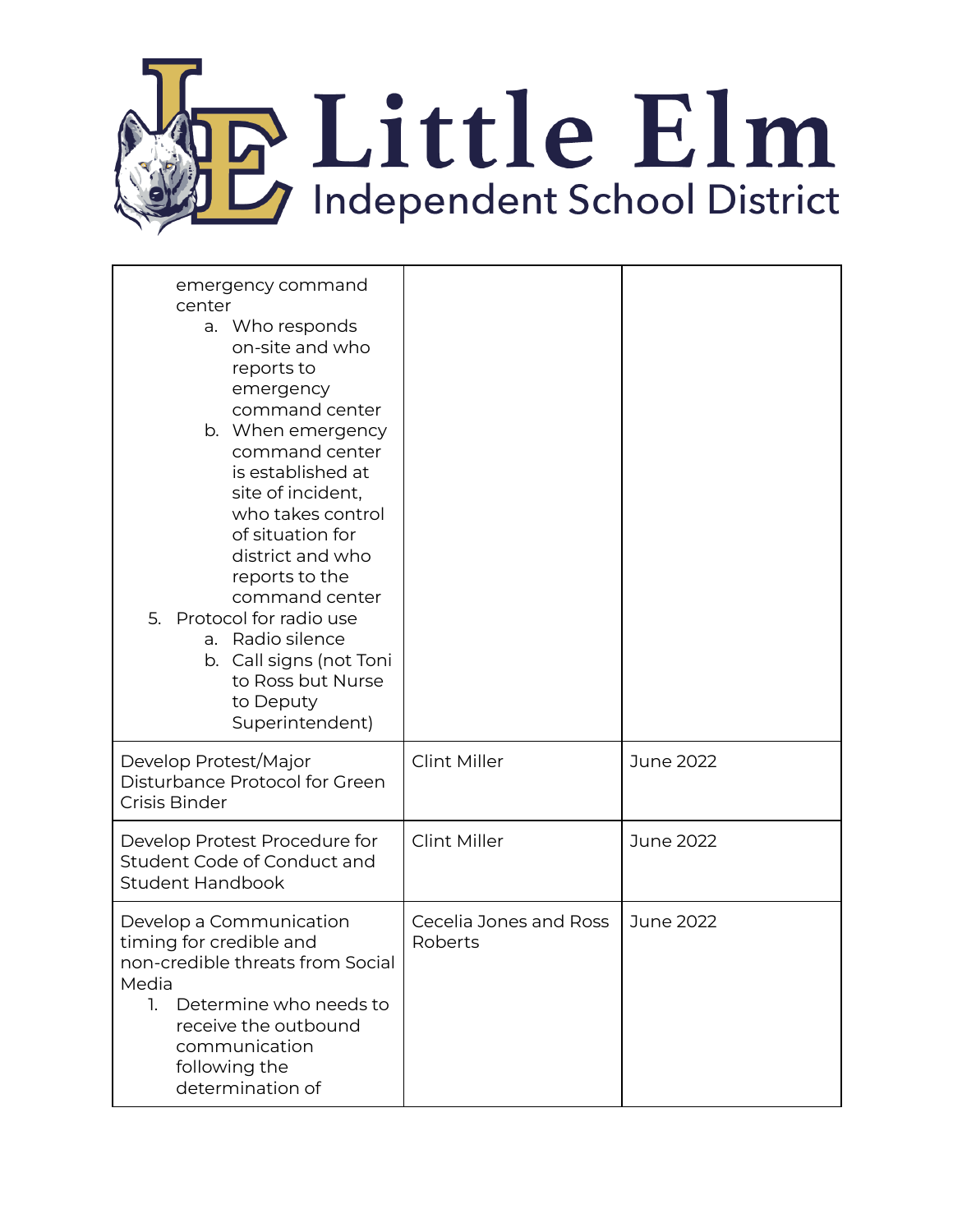

| emergency command<br>center<br>a. Who responds<br>on-site and who<br>reports to<br>emergency<br>command center<br>b. When emergency<br>command center<br>is established at<br>site of incident,<br>who takes control<br>of situation for<br>district and who<br>reports to the<br>command center<br>Protocol for radio use<br>5.<br>a. Radio silence<br>b. Call signs (not Toni<br>to Ross but Nurse<br>to Deputy<br>Superintendent) |                                   |           |
|--------------------------------------------------------------------------------------------------------------------------------------------------------------------------------------------------------------------------------------------------------------------------------------------------------------------------------------------------------------------------------------------------------------------------------------|-----------------------------------|-----------|
| Develop Protest/Major<br>Disturbance Protocol for Green<br>Crisis Binder                                                                                                                                                                                                                                                                                                                                                             | <b>Clint Miller</b>               | June 2022 |
| Develop Protest Procedure for<br>Student Code of Conduct and<br><b>Student Handbook</b>                                                                                                                                                                                                                                                                                                                                              | <b>Clint Miller</b>               | June 2022 |
| Develop a Communication<br>timing for credible and<br>non-credible threats from Social<br>Media<br>Determine who needs to<br>1.<br>receive the outbound<br>communication<br>following the<br>determination of                                                                                                                                                                                                                        | Cecelia Jones and Ross<br>Roberts | June 2022 |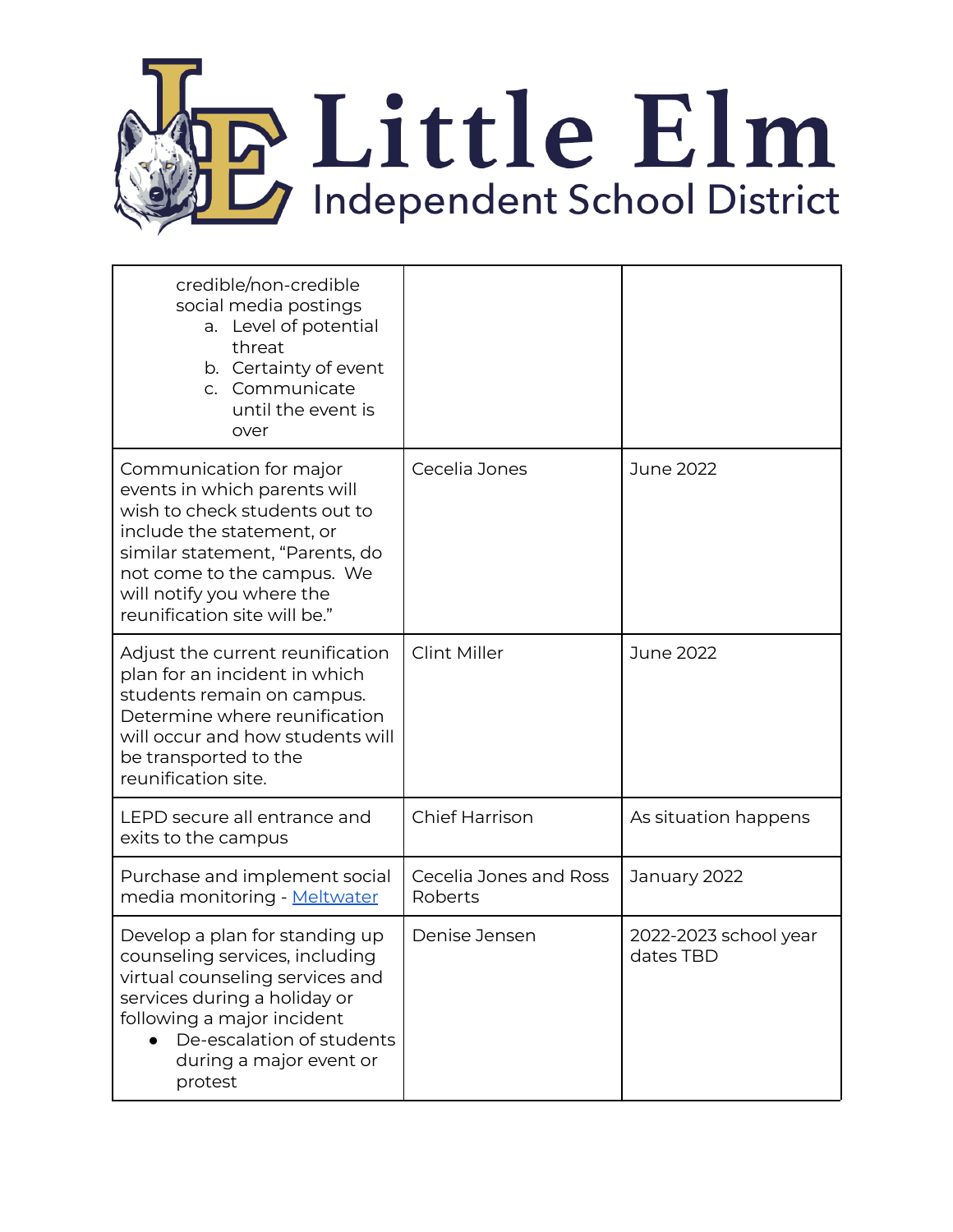

| credible/non-credible<br>social media postings<br>a. Level of potential<br>threat<br>b. Certainty of event<br>c. Communicate<br>until the event is<br>over                                                                                          |                                   |                                    |
|-----------------------------------------------------------------------------------------------------------------------------------------------------------------------------------------------------------------------------------------------------|-----------------------------------|------------------------------------|
| Communication for major<br>events in which parents will<br>wish to check students out to<br>include the statement, or<br>similar statement, "Parents, do<br>not come to the campus. We<br>will notify you where the<br>reunification site will be." | Cecelia Jones                     | June 2022                          |
| Adjust the current reunification<br>plan for an incident in which<br>students remain on campus.<br>Determine where reunification<br>will occur and how students will<br>be transported to the<br>reunification site.                                | Clint Miller                      | June 2022                          |
| LEPD secure all entrance and<br>exits to the campus                                                                                                                                                                                                 | <b>Chief Harrison</b>             | As situation happens               |
| Purchase and implement social<br>media monitoring - Meltwater                                                                                                                                                                                       | Cecelia Jones and Ross<br>Roberts | January 2022                       |
| Develop a plan for standing up<br>counseling services, including<br>virtual counseling services and<br>services during a holiday or<br>following a major incident<br>De-escalation of students<br>during a major event or<br>protest                | Denise Jensen                     | 2022-2023 school year<br>dates TBD |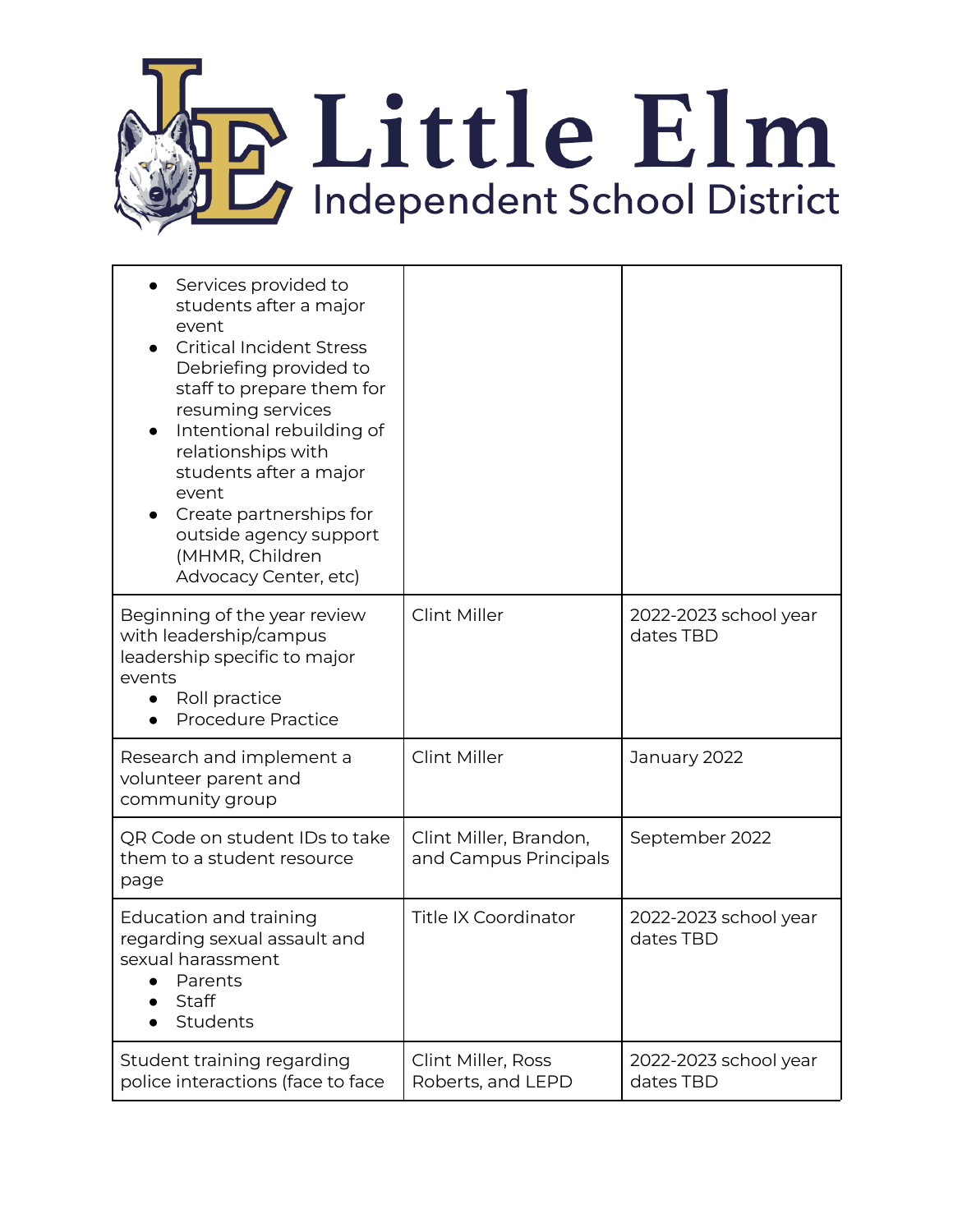

| Services provided to<br>students after a major<br>event<br><b>Critical Incident Stress</b><br>Debriefing provided to<br>staff to prepare them for<br>resuming services<br>Intentional rebuilding of<br>relationships with<br>students after a major<br>event<br>Create partnerships for<br>outside agency support<br>(MHMR, Children<br>Advocacy Center, etc) |                                                 |                                    |
|---------------------------------------------------------------------------------------------------------------------------------------------------------------------------------------------------------------------------------------------------------------------------------------------------------------------------------------------------------------|-------------------------------------------------|------------------------------------|
| Beginning of the year review<br>with leadership/campus<br>leadership specific to major<br>events<br>Roll practice<br><b>Procedure Practice</b>                                                                                                                                                                                                                | <b>Clint Miller</b>                             | 2022-2023 school year<br>dates TBD |
| Research and implement a<br>volunteer parent and<br>community group                                                                                                                                                                                                                                                                                           | <b>Clint Miller</b>                             | January 2022                       |
| QR Code on student IDs to take<br>them to a student resource<br>page                                                                                                                                                                                                                                                                                          | Clint Miller, Brandon,<br>and Campus Principals | September 2022                     |
| Education and training<br>regarding sexual assault and<br>sexual harassment<br>Parents<br>Staff<br>Students                                                                                                                                                                                                                                                   | <b>Title IX Coordinator</b>                     | 2022-2023 school year<br>dates TBD |
| Student training regarding<br>police interactions (face to face                                                                                                                                                                                                                                                                                               | Clint Miller, Ross<br>Roberts, and LEPD         | 2022-2023 school year<br>dates TBD |